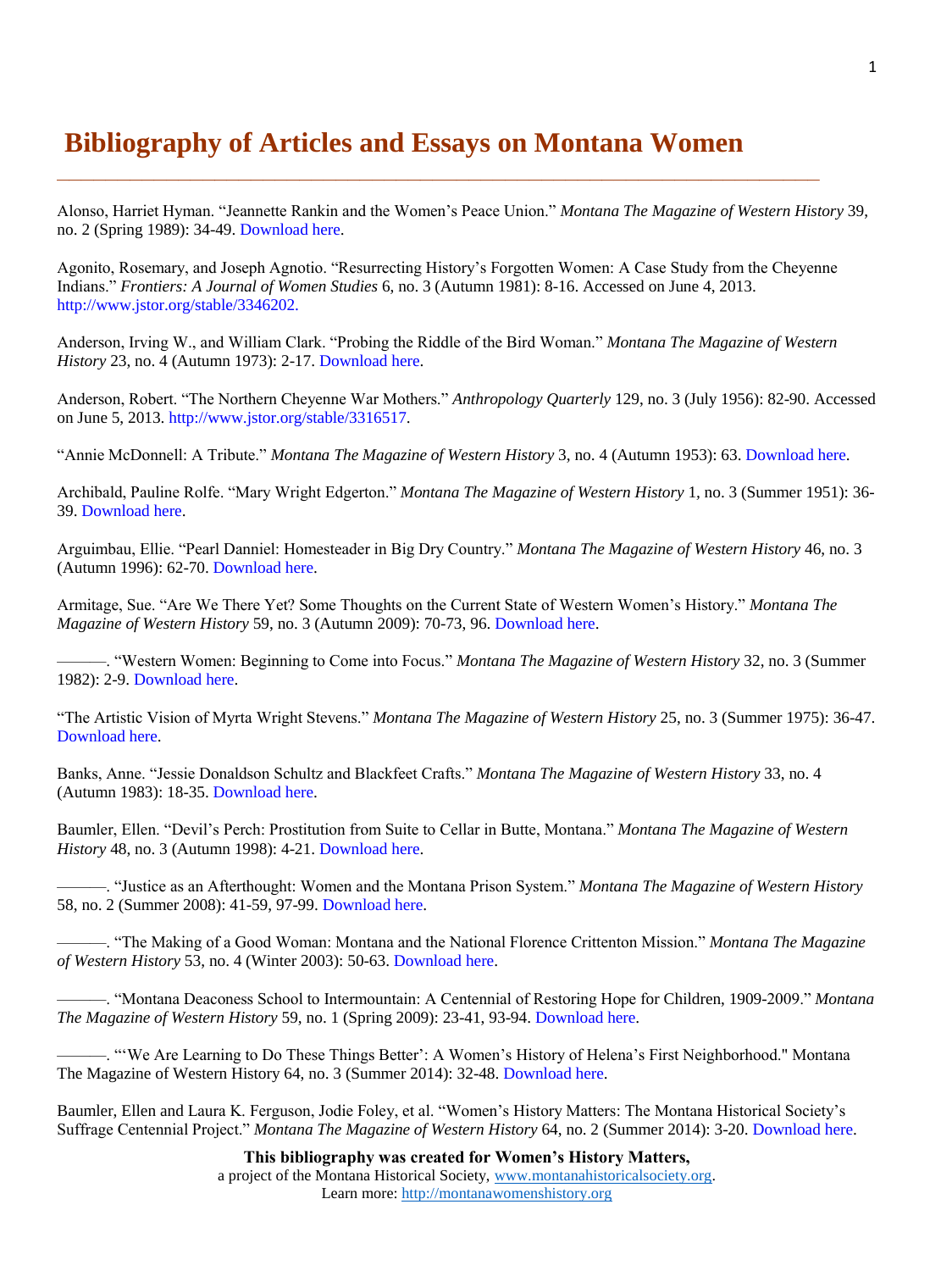## **Bibliography of Articles and Essays on Montana Women**

Alonso, Harriet Hyman. "Jeannette Rankin and the Women's Peace Union." *Montana The Magazine of Western History* 39, no. 2 (Spring 1989): 34-49. [Download here.](http://montanawomenshistory.org/wp-content/uploads/2013/11/Alonso-Harriet-Hyman-Jeannette-Rankin-and-the-Womens-Peace-Union.pdf)

Agonito, Rosemary, and Joseph Agnotio. "Resurrecting History's Forgotten Women: A Case Study from the Cheyenne Indians." *Frontiers: A Journal of Women Studies* 6, no. 3 (Autumn 1981): 8-16. Accessed on June 4, 2013. [http://www.jstor.org/stable/3346202.](http://www.jstor.org/stable/3346202)

**\_\_\_\_\_\_\_\_\_\_\_\_\_\_\_\_\_\_\_\_\_\_\_\_\_\_\_\_\_\_\_\_\_\_\_\_\_\_\_\_\_\_\_\_\_\_\_\_\_\_\_\_\_\_\_\_\_\_\_\_\_\_\_** 

Anderson, Irving W., and William Clark. "Probing the Riddle of the Bird Woman." *Montana The Magazine of Western History* 23, no. 4 (Autumn 1973): 2-17. [Download here.](http://montanawomenshistory.org/wp-content/uploads/2013/11/Anderon-Irving-and-William-Clark-Probing-the-Riddle-of-the-Bird-Woman.pdf)

Anderson, Robert. "The Northern Cheyenne War Mothers." *Anthropology Quarterly* 129, no. 3 (July 1956): 82-90. Accessed on June 5, 2013. [http://www.jstor.org/stable/3316517.](http://www.jstor.org/stable/3316517)

"Annie McDonnell: A Tribute." *Montana The Magazine of Western History* 3, no. 4 (Autumn 1953): 63. [Download here.](http://montanawomenshistory.org/wp-content/uploads/2013/11/Annie-McDonnel-A-Tribute.pdf)

Archibald, Pauline Rolfe. "Mary Wright Edgerton." *Montana The Magazine of Western History* 1*,* no. 3 (Summer 1951): 36- 39. [Download here.](http://montanawomenshistory.org/wp-content/uploads/2013/11/Archibald-Pauline-Mary-Wright-Edgerton.pdf)

Arguimbau, Ellie. "Pearl Danniel: Homesteader in Big Dry Country." *Montana The Magazine of Western History* 46, no. 3 (Autumn 1996): 62-70. [Download here.](http://montanawomenshistory.org/wp-content/uploads/2013/11/Arguimbau-Ellie-Pearl-Danniel-Homesteader-in-Big-Dry-Country.pdf)

Armitage, Sue. "Are We There Yet? Some Thoughts on the Current State of Western Women's History." *Montana The Magazine of Western History* 59, no. 3 (Autumn 2009): 70-73, 96. [Download here.](http://montanawomenshistory.org/wp-content/uploads/2013/11/Armitage-Sue-Are-We-There-Yet.pdf)

———. "Western Women: Beginning to Come into Focus." *Montana The Magazine of Western History* 32, no. 3 (Summer 1982): 2-9. [Download here.](http://montanawomenshistory.org/wp-content/uploads/2013/11/Armitage-Sue-Western-Women-Beginning-to-Come-into-Focus.pdf)

"The Artistic Vision of Myrta Wright Stevens." *Montana The Magazine of Western History* 25, no. 3 (Summer 1975): 36-47. [Download here.](http://montanawomenshistory.org/wp-content/uploads/2013/11/Artistic-Vision-of-Myrta-Wright-Stevens-The.pdf)

Banks, Anne. "Jessie Donaldson Schultz and Blackfeet Crafts." *Montana The Magazine of Western History* 33, no. 4 (Autumn 1983): 18-35. [Download here.](http://montanawomenshistory.org/wp-content/uploads/2013/11/Banks-Anne-Jessie-Donaldson-Schultz-and-Blackfeet-Craft.pdf)

Baumler, Ellen. "Devil's Perch: Prostitution from Suite to Cellar in Butte, Montana." *Montana The Magazine of Western History* 48, no. 3 (Autumn 1998): 4-21. [Download here.](http://montanawomenshistory.org/wp-content/uploads/2013/11/Baumler-Ellen-Devils-Perch.pdf)

———. "Justice as an Afterthought: Women and the Montana Prison System." *Montana The Magazine of Western History* 58, no. 2 (Summer 2008): 41-59, 97-99. [Download here.](http://montanawomenshistory.org/wp-content/uploads/2013/11/Baumler-Ellen-Justice-as-an-Afterthought.pdf)

———. "The Making of a Good Woman: Montana and the National Florence Crittenton Mission." *Montana The Magazine of Western History* 53, no. 4 (Winter 2003): 50-63. [Download here.](http://montanawomenshistory.org/wp-content/uploads/2013/11/Baumler-Ellen-The-Making-of-a-Good-Woman.pdf)

———. "Montana Deaconess School to Intermountain: A Centennial of Restoring Hope for Children, 1909-2009." *Montana The Magazine of Western History* 59, no. 1 (Spring 2009): 23-41, 93-94. [Download here.](http://montanawomenshistory.org/wp-content/uploads/2013/11/Baumler-Ellen-Montana-Deaconess-School.pdf)

———. "'We Are Learning to Do These Things Better': A Women's History of Helena's First Neighborhood." Montana The Magazine of Western History 64, no. 3 (Summer 2014): 32-48[. Download here.](http://montanawomenshistory.org/wp-content/uploads/2015/01/32-48BaumlerAut2014.pdf)

Baumler, Ellen and Laura K. Ferguson, Jodie Foley, et al. "Women's History Matters: The Montana Historical Society's Suffrage Centennial Project." *Montana The Magazine of Western History* 64, no. 2 (Summer 2014): 3-20. [Download](http://montanawomenshistory.org/wp-content/uploads/2015/01/03-20WmHistoryMattersSum2014.pdf) here.

> **This bibliography was created for Women's History Matters,** a project of the Montana Historical Society, [www.montanahistoricalsociety.org.](file:///C:/Users/Kayla/Downloads/www.montanahistoricalsociety.org) Learn more: [http://montanawomenshistory.org](http://montanawomenshistory.org/)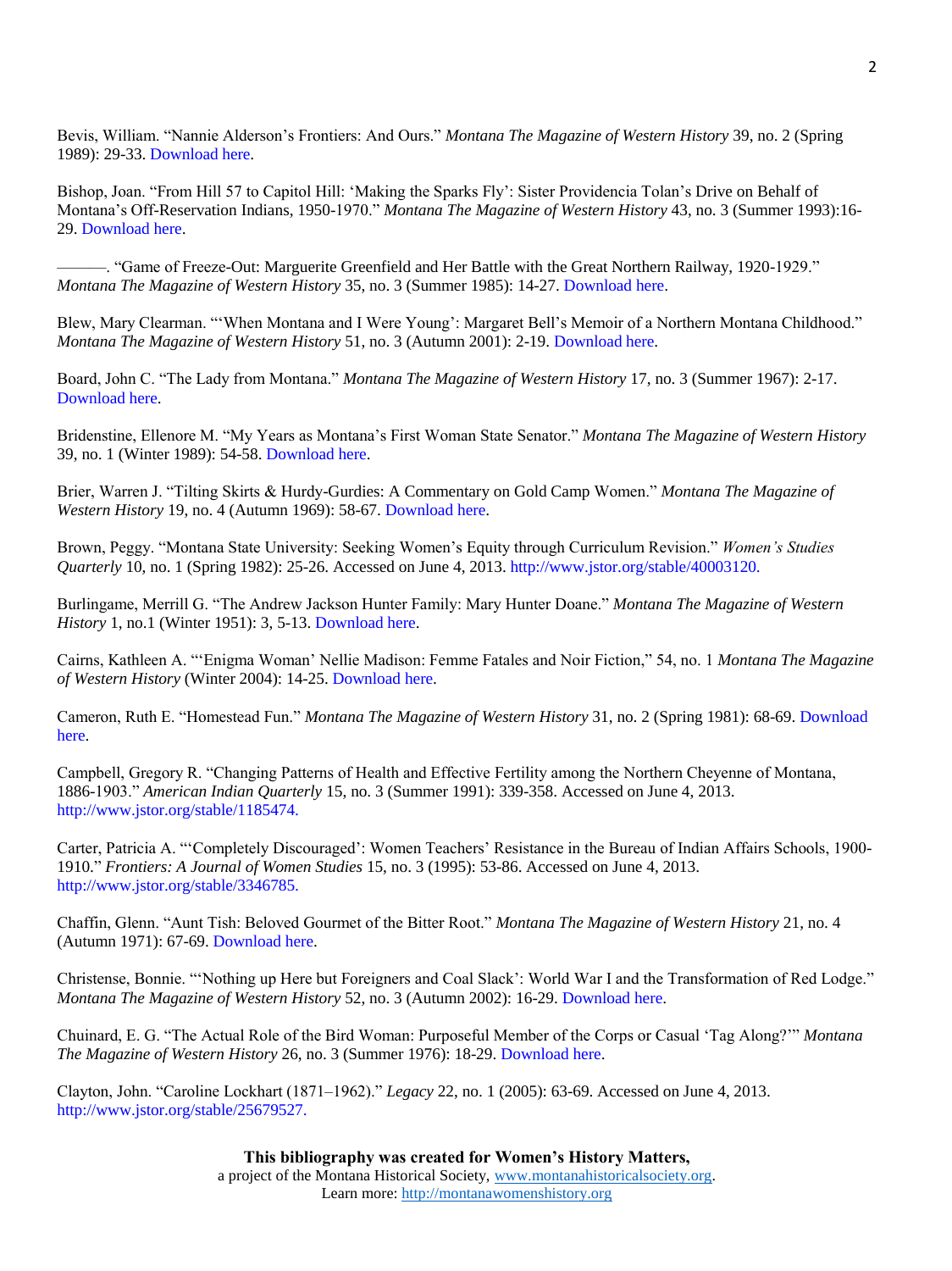Bevis, William. "Nannie Alderson's Frontiers: And Ours." *Montana The Magazine of Western History* 39, no. 2 (Spring 1989): 29-33. [Download here.](http://montanawomenshistory.org/wp-content/uploads/2013/11/Bevis-William-Nannie-Aldersons-Frontiers.pdf)

Bishop, Joan. "From Hill 57 to Capitol Hill: 'Making the Sparks Fly': Sister Providencia Tolan's Drive on Behalf of Montana's Off-Reservation Indians, 1950-1970." *Montana The Magazine of Western History* 43, no. 3 (Summer 1993):16- 29. [Download here.](http://montanawomenshistory.org/wp-content/uploads/2013/11/Bishop-Joan-From-Hill-57-to-Capitol-Hill.pdf)

———. "Game of Freeze-Out: Marguerite Greenfield and Her Battle with the Great Northern Railway, 1920-1929." *Montana The Magazine of Western History* 35, no. 3 (Summer 1985): 14-27. [Download here.](http://montanawomenshistory.org/wp-content/uploads/2013/11/Bishop-Joan-Game-of-Freeze-Out.pdf)

Blew, Mary Clearman. "'When Montana and I Were Young': Margaret Bell's Memoir of a Northern Montana Childhood." *Montana The Magazine of Western History* 51, no. 3 (Autumn 2001): 2-19. [Download here.](http://montanawomenshistory.org/wp-content/uploads/2013/11/Blew-Mary-Clearman-When-Montana-and-I-Were-Young.pdf)

Board, John C. "The Lady from Montana." *Montana The Magazine of Western History* 17, no. 3 (Summer 1967): 2-17. [Download here.](http://montanawomenshistory.org/wp-content/uploads/2013/11/Board-John-C.-The-Lady-from-Montana.pdf)

Bridenstine, Ellenore M. "My Years as Montana's First Woman State Senator." *Montana The Magazine of Western History* 39, no. 1 (Winter 1989): 54-58. [Download here.](http://montanawomenshistory.org/wp-content/uploads/2013/11/Bridenstine-Ellenore-My-Years-as-Montanas-First-Woman-State-Senator.pdf)

Brier, Warren J. "Tilting Skirts & Hurdy-Gurdies: A Commentary on Gold Camp Women." *Montana The Magazine of Western History* 19, no. 4 (Autumn 1969): 58-67[. Download here.](http://montanawomenshistory.org/wp-content/uploads/2013/11/Brier-Warren-J.-Tilting-Skirts-and-Hurdy-Gurdies-A-Commentary-on-Gold-Camp-Women.pdf)

Brown, Peggy. "Montana State University: Seeking Women's Equity through Curriculum Revision." *Women's Studies Quarterly* 10, no. 1 (Spring 1982): 25-26. Accessed on June 4, 2013. [http://www.jstor.org/stable/40003120.](http://www.jstor.org/stable/40003120)

Burlingame, Merrill G. "The Andrew Jackson Hunter Family: Mary Hunter Doane." *Montana The Magazine of Western History* 1, no.1 (Winter 1951): 3, 5-13[. Download here.](http://montanawomenshistory.org/wp-content/uploads/2013/11/Burlingame-Merrill-The-Andrew-Jackson-Hunter-Family-Mary-Hunter-Doane.pdf)

Cairns, Kathleen A. "'Enigma Woman' Nellie Madison: Femme Fatales and Noir Fiction," 54, no. 1 *Montana The Magazine of Western History* (Winter 2004): 14-25[. Download here.](http://montanawomenshistory.org/wp-content/uploads/2013/11/Cairns-Enigma-Woman.pdf)

Cameron, Ruth E. "Homestead Fun." *Montana The Magazine of Western History* 31, no. 2 (Spring 1981): 68-69. [Download](http://montanawomenshistory.org/wp-content/uploads/2013/11/Cameron-Ruth-Homestead-Fun.pdf)  [here.](http://montanawomenshistory.org/wp-content/uploads/2013/11/Cameron-Ruth-Homestead-Fun.pdf)

Campbell, Gregory R. "Changing Patterns of Health and Effective Fertility among the Northern Cheyenne of Montana, 1886-1903." *American Indian Quarterly* 15, no. 3 (Summer 1991): 339-358. Accessed on June 4, 2013. [http://www.jstor.org/stable/1185474.](http://www.jstor.org/stable/1185474)

Carter, Patricia A. "'Completely Discouraged': Women Teachers' Resistance in the Bureau of Indian Affairs Schools, 1900- 1910." *Frontiers: A Journal of Women Studies* 15, no. 3 (1995): 53-86. Accessed on June 4, 2013. [http://www.jstor.org/stable/3346785.](http://www.jstor.org/stable/3346785)

Chaffin, Glenn. "Aunt Tish: Beloved Gourmet of the Bitter Root." *Montana The Magazine of Western History* 21, no. 4 (Autumn 1971): 67-69. [Download here.](http://montanawomenshistory.org/wp-content/uploads/2013/11/Chaffin-Glenn-Aunt-Tish.pdf)

Christense, Bonnie. "'Nothing up Here but Foreigners and Coal Slack': World War I and the Transformation of Red Lodge." *Montana The Magazine of Western History* 52, no. 3 (Autumn 2002): 16-29. [Download here.](http://montanawomenshistory.org/wp-content/uploads/2013/11/Christense-Bonnie-Nothing-Up-Here-But-Foreigners.pdf)

Chuinard, E. G. "The Actual Role of the Bird Woman: Purposeful Member of the Corps or Casual 'Tag Along?'" *Montana The Magazine of Western History* 26, no. 3 (Summer 1976): 18-29. [Download here.](http://montanawomenshistory.org/wp-content/uploads/2013/11/Chuinard-E.G.-The-Actual-Role-of-the-Bird-Woman.pdf)

Clayton, John. "Caroline Lockhart (1871–1962)." *Legacy* 22, no. 1 (2005): 63-69. Accessed on June 4, 2013. [http://www.jstor.org/stable/25679527.](http://www.jstor.org/stable/25679527)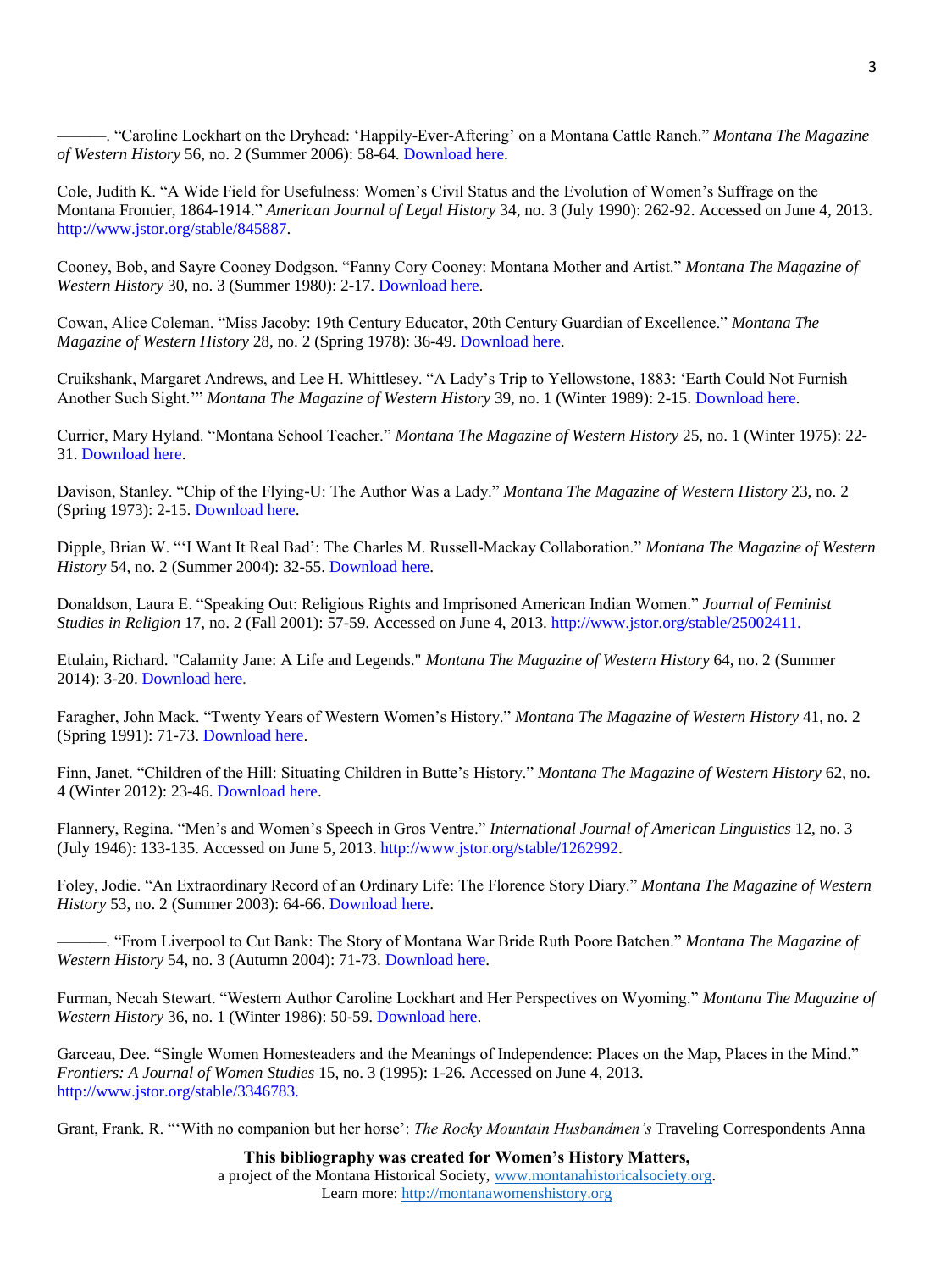———. "Caroline Lockhart on the Dryhead: 'Happily-Ever-Aftering' on a Montana Cattle Ranch." *Montana The Magazine of Western History* 56, no. 2 (Summer 2006): 58-64. [Download here.](http://montanawomenshistory.org/wp-content/uploads/2013/11/Clayton-John-Caroline-Lockhart-on-the-Dryhead.pdf)

Cole, Judith K. "A Wide Field for Usefulness: Women's Civil Status and the Evolution of Women's Suffrage on the Montana Frontier, 1864-1914." *American Journal of Legal History* 34, no. 3 (July 1990): 262-92. Accessed on June 4, 2013. [http://www.jstor.org/stable/845887.](http://www.jstor.org/stable/845887)

Cooney, Bob, and Sayre Cooney Dodgson. "Fanny Cory Cooney: Montana Mother and Artist." *Montana The Magazine of Western History* 30, no. 3 (Summer 1980): 2-17. [Download here.](http://montanawomenshistory.org/wp-content/uploads/2013/11/Cooney-Bob-and-Sayer-Cooney-Dodgson-Fanny-Cory-Cooney.pdf)

Cowan, Alice Coleman. "Miss Jacoby: 19th Century Educator, 20th Century Guardian of Excellence." *Montana The Magazine of Western History* 28, no. 2 (Spring 1978): 36-49. [Download here.](http://montanawomenshistory.org/wp-content/uploads/2013/11/Cowan-Alice-Coleman-Miss-Jacoby.pdf)

Cruikshank, Margaret Andrews, and Lee H. Whittlesey. "A Lady's Trip to Yellowstone, 1883: 'Earth Could Not Furnish Another Such Sight.'" *Montana The Magazine of Western History* 39, no. 1 (Winter 1989): 2-15. [Download here.](http://montanawomenshistory.org/wp-content/uploads/2013/11/Cruikshank-Margaret-Andrews-and-Lee-H.-Wittlesey-A-Ladys-Trip-to-Yellowstone-1883.pdf)

Currier, Mary Hyland. "Montana School Teacher." *Montana The Magazine of Western History* 25, no. 1 (Winter 1975): 22- 31. [Download here.](http://montanawomenshistory.org/wp-content/uploads/2013/11/Currier-Mary-Hyland-Montana-School-Teacher.pdf)

Davison, Stanley. "Chip of the Flying-U: The Author Was a Lady." *Montana The Magazine of Western History* 23, no. 2 (Spring 1973): 2-15. [Download here.](http://montanawomenshistory.org/wp-content/uploads/2013/11/Davison-Stanley-Chip-of-the-Flying-U.pdf)

Dipple, Brian W. "'I Want It Real Bad': The Charles M. Russell-Mackay Collaboration." *Montana The Magazine of Western History* 54, no. 2 (Summer 2004): 32-55[. Download here.](http://montanawomenshistory.org/wp-content/uploads/2013/11/Dipple-Brian-I-want-it-real-bad-Nancy-Russell.pdf)

Donaldson, Laura E. "Speaking Out: Religious Rights and Imprisoned American Indian Women." *Journal of Feminist Studies in Religion* 17, no. 2 (Fall 2001): 57-59. Accessed on June 4, 2013. [http://www.jstor.org/stable/25002411.](http://www.jstor.org/stable/25002411)

Etulain, Richard. "Calamity Jane: A Life and Legends." *Montana The Magazine of Western History* 64, no. 2 (Summer 2014): 3-20. [Download here.](http://montanawomenshistory.org/wp-content/uploads/2015/01/21-45EtulainSum2014.pdf)

Faragher, John Mack. "Twenty Years of Western Women's History." *Montana The Magazine of Western History* 41, no. 2 (Spring 1991): 71-73[. Download here.](http://montanawomenshistory.org/wp-content/uploads/2013/11/Faragher-John-Twenty-Years-of-Western-Womens-History.pdf)

Finn, Janet. "Children of the Hill: Situating Children in Butte's History." *Montana The Magazine of Western History* 62, no. 4 (Winter 2012): 23-46[. Download here.](http://montanawomenshistory.org/wp-content/uploads/2013/12/FinnWin2012MMWH.pdf)

Flannery, Regina. "Men's and Women's Speech in Gros Ventre." *International Journal of American Linguistics* 12, no. 3 (July 1946): 133-135. Accessed on June 5, 2013[. http://www.jstor.org/stable/1262992.](http://www.jstor.org/stable/1262992)

Foley, Jodie. "An Extraordinary Record of an Ordinary Life: The Florence Story Diary." *Montana The Magazine of Western History* 53, no. 2 (Summer 2003): 64-66[. Download here.](http://montanawomenshistory.org/wp-content/uploads/2013/11/Foley-Jodie-An-Extraordinary-Record-of-an-Ordinary-Life.pdf)

———. "From Liverpool to Cut Bank: The Story of Montana War Bride Ruth Poore Batchen." *Montana The Magazine of Western History* 54, no. 3 (Autumn 2004): 71-73[. Download here.](http://montanawomenshistory.org/wp-content/uploads/2013/11/Foley-Jodie-From-Liverpool-to-Cut-Bank.pdf)

Furman, Necah Stewart. "Western Author Caroline Lockhart and Her Perspectives on Wyoming." *Montana The Magazine of Western History* 36, no. 1 (Winter 1986): 50-59. [Download here.](http://montanawomenshistory.org/wp-content/uploads/2013/11/Furman-Necah-Western-Author-Carolyn-Lockhart.pdf)

Garceau, Dee. "Single Women Homesteaders and the Meanings of Independence: Places on the Map, Places in the Mind." *Frontiers: A Journal of Women Studies* 15, no. 3 (1995): 1-26. Accessed on June 4, 2013. [http://www.jstor.org/stable/3346783.](http://www.jstor.org/stable/3346783)

Grant, Frank. R. "'With no companion but her horse': *The Rocky Mountain Husbandmen's* Traveling Correspondents Anna

**This bibliography was created for Women's History Matters,** a project of the Montana Historical Society, [www.montanahistoricalsociety.org.](file:///C:/Users/Kayla/Downloads/www.montanahistoricalsociety.org) Learn more: [http://montanawomenshistory.org](http://montanawomenshistory.org/)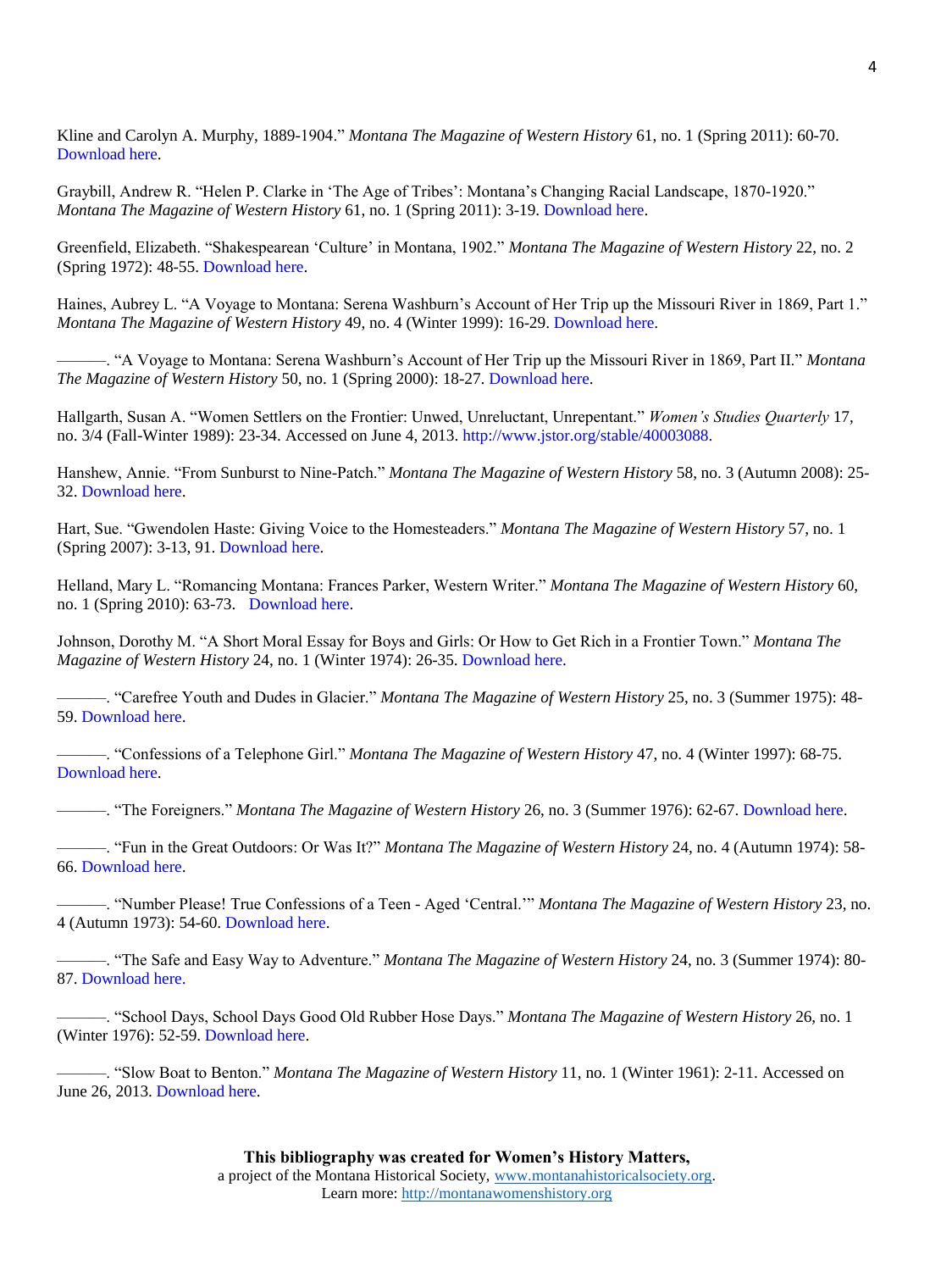Kline and Carolyn A. Murphy, 1889-1904." *Montana The Magazine of Western History* 61, no. 1 (Spring 2011): 60-70. [Download here.](http://montanawomenshistory.org/wp-content/uploads/2013/11/Grant-Frank-R.-With-No-Companion-But-Her-Horse.pdf)

Graybill, Andrew R. "Helen P. Clarke in 'The Age of Tribes': Montana's Changing Racial Landscape, 1870-1920." *Montana The Magazine of Western History* 61, no. 1 (Spring 2011): 3-19[. Download here.](http://montanawomenshistory.org/wp-content/uploads/2013/11/Graybill-Andrew-R.-Helen-P.-Clarke.pdf)

Greenfield, Elizabeth. "Shakespearean 'Culture' in Montana, 1902." *Montana The Magazine of Western History* 22, no. 2 (Spring 1972): 48-55[. Download here.](http://montanawomenshistory.org/wp-content/uploads/2013/11/Greenfield-Elizabeth-Shakespearean-Culture-in-Montana.pdf)

Haines, Aubrey L. "A Voyage to Montana: Serena Washburn's Account of Her Trip up the Missouri River in 1869, Part 1." *Montana The Magazine of Western History* 49, no. 4 (Winter 1999): 16-29. [Download here.](http://montanawomenshistory.org/wp-content/uploads/2013/11/Haines-Aubrey-L.-A-Voyage-to-Montana-Part-1.pdf)

———. "A Voyage to Montana: Serena Washburn's Account of Her Trip up the Missouri River in 1869, Part II." *Montana The Magazine of Western History* 50, no. 1 (Spring 2000): 18-27. [Download here.](http://montanawomenshistory.org/wp-content/uploads/2013/11/Haines-Aubrey-L.-A-Voyage-to-Montana-Part-2.pdf)

Hallgarth, Susan A. "Women Settlers on the Frontier: Unwed, Unreluctant, Unrepentant." *Women's Studies Quarterly* 17, no. 3/4 (Fall-Winter 1989): 23-34. Accessed on June 4, 2013. [http://www.jstor.org/stable/40003088.](http://www.jstor.org/stable/40003088)

Hanshew, Annie. "From Sunburst to Nine-Patch." *Montana The Magazine of Western History* 58, no. 3 (Autumn 2008): 25- 32. [Download here.](http://montanawomenshistory.org/wp-content/uploads/2013/11/Hanshew-From-Sunburst-to-Nine-Patch-.pdf)

Hart, Sue. "Gwendolen Haste: Giving Voice to the Homesteaders." *Montana The Magazine of Western History* 57, no. 1 (Spring 2007): 3-13, 91. [Download here.](http://montanawomenshistory.org/wp-content/uploads/2013/11/Hart-Sue-Gwedolyn-Haste.pdf)

Helland, Mary L. "Romancing Montana: Frances Parker, Western Writer." *Montana The Magazine of Western History* 60, no. 1 (Spring 2010): 63-73. [Download here.](http://montanawomenshistory.org/wp-content/uploads/2013/11/Helland-Mary-Romancing-Montana.pdf)

Johnson, Dorothy M. "A Short Moral Essay for Boys and Girls: Or How to Get Rich in a Frontier Town." *Montana The Magazine of Western History* 24, no. 1 (Winter 1974): 26-35. [Download here.](http://montanawomenshistory.org/wp-content/uploads/2013/11/Johnson-Dorothy-A-Short-Moral-Essay-for-Boys-and-Girls.pdf)

———. "Carefree Youth and Dudes in Glacier." *Montana The Magazine of Western History* 25, no. 3 (Summer 1975): 48- 59. [Download here.](http://montanawomenshistory.org/wp-content/uploads/2013/11/Johnson-Dorothy-Carefree-Youth-and-Dudes-in-Glaicer.pdf)

———. "Confessions of a Telephone Girl." *Montana The Magazine of Western History* 47, no. 4 (Winter 1997): 68-75. [Download here.](http://montanawomenshistory.org/wp-content/uploads/2013/11/Johnson-Dorothy-Confessions-of-a-Telephone-Girl.pdf)

———. "The Foreigners." *Montana The Magazine of Western History* 26, no. 3 (Summer 1976): 62-67[. Download here.](http://montanawomenshistory.org/wp-content/uploads/2013/11/Johnson-Dorothy-Foreigners.pdf)

———. "Fun in the Great Outdoors: Or Was It?" *Montana The Magazine of Western History* 24, no. 4 (Autumn 1974): 58- 66. [Download here.](http://montanawomenshistory.org/wp-content/uploads/2013/11/Johnson-Dorothy-Fun-in-the-Great-Outdoors.pdf)

———. "Number Please! True Confessions of a Teen - Aged 'Central.'" *Montana The Magazine of Western History* 23, no. 4 (Autumn 1973): 54-60. [Download here.](http://montanawomenshistory.org/wp-content/uploads/2013/11/Johnson-Dorothy-Number-Please.pdf)

———. "The Safe and Easy Way to Adventure." *Montana The Magazine of Western History* 24, no. 3 (Summer 1974): 80- 87. [Download here.](http://montanawomenshistory.org/wp-content/uploads/2013/11/Johnson-Dorothy-The-Safe-and-Easy-Way-to-Adventure.pdf)

———. "School Days, School Days Good Old Rubber Hose Days." *Montana The Magazine of Western History* 26, no. 1 (Winter 1976): 52-59. [Download here.](http://montanawomenshistory.org/wp-content/uploads/2013/11/Johnson-Dorothy-School-Days.pdf)

———. "Slow Boat to Benton." *Montana The Magazine of Western History* 11, no. 1 (Winter 1961): 2-11. Accessed on June 26, 2013[. Download here.](http://montanawomenshistory.org/wp-content/uploads/2013/11/Jonson-Dorothy-Slow-Boat-to-Benton.pdf)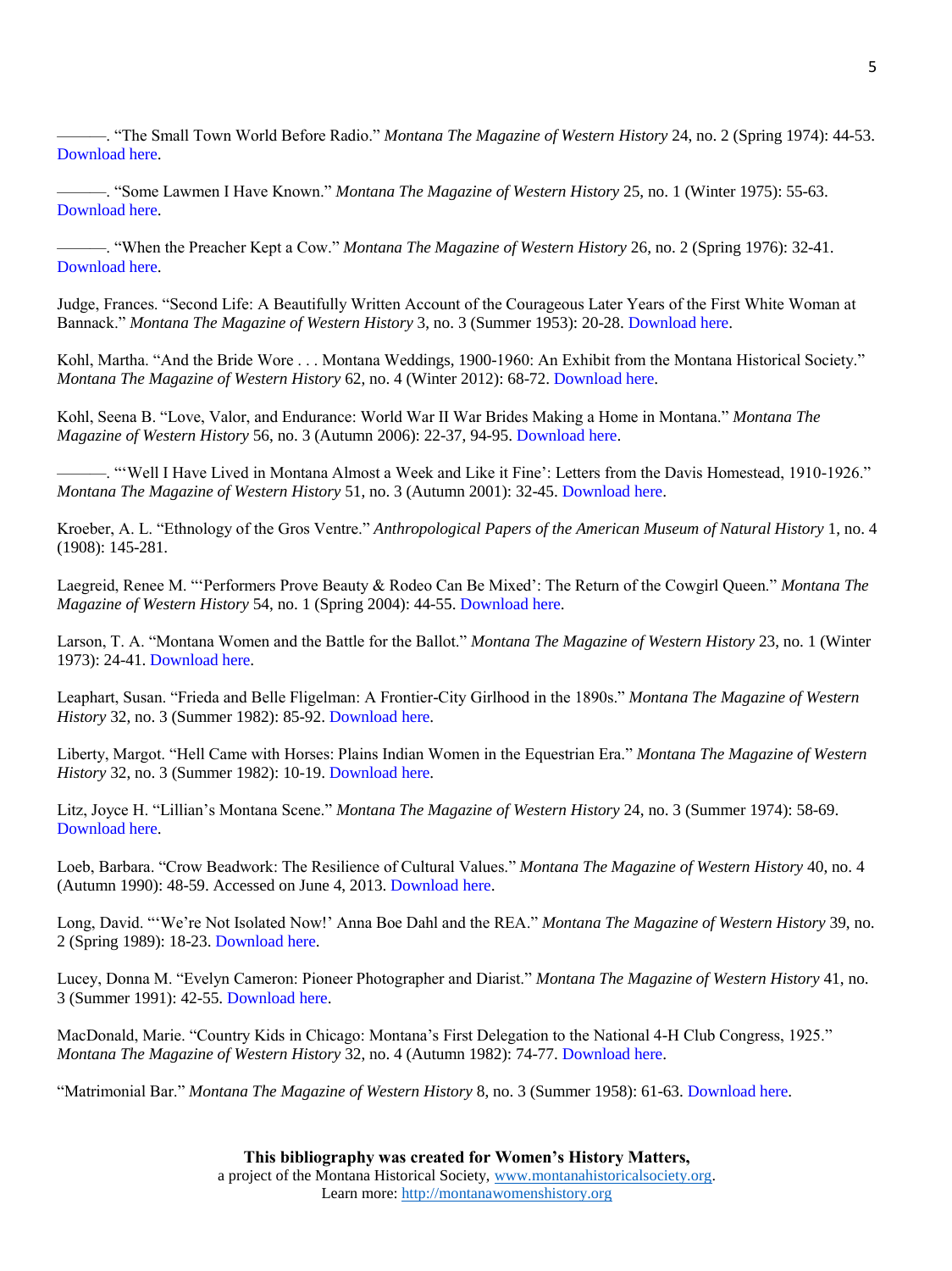———. "The Small Town World Before Radio." *Montana The Magazine of Western History* 24, no. 2 (Spring 1974): 44-53. [Download here.](http://montanawomenshistory.org/wp-content/uploads/2013/11/Johnson-Dorothy-The-Small-Town-World-Before-Radio.pdf)

———. "Some Lawmen I Have Known." *Montana The Magazine of Western History* 25, no. 1 (Winter 1975): 55-63. [Download here.](http://montanawomenshistory.org/wp-content/uploads/2013/11/Johnson-Dorothy-Some-Lawmen-I-Have-Known.pdf)

———. "When the Preacher Kept a Cow." *Montana The Magazine of Western History* 26, no. 2 (Spring 1976): 32-41. [Download here.](http://montanawomenshistory.org/wp-content/uploads/2013/11/Johnson-Dorothy-When-the-Preacher-Kept-a-Cow.pdf)

Judge, Frances. "Second Life: A Beautifully Written Account of the Courageous Later Years of the First White Woman at Bannack." *Montana The Magazine of Western History* 3, no. 3 (Summer 1953): 20-28. [Download here.](http://montanawomenshistory.org/wp-content/uploads/2013/11/Judge-Frances-Second-Life.pdf)

Kohl, Martha. "And the Bride Wore . . . Montana Weddings, 1900-1960: An Exhibit from the Montana Historical Society." *Montana The Magazine of Western History* 62, no. 4 (Winter 2012): 68-72. [Download here.](http://montanawomenshistory.org/wp-content/uploads/2013/11/Kohl-Martha-And-the-Bride-Wore.pdf)

Kohl, Seena B. "Love, Valor, and Endurance: World War II War Brides Making a Home in Montana." *Montana The Magazine of Western History* 56, no. 3 (Autumn 2006): 22-37, 94-95. [Download here.](http://montanawomenshistory.org/wp-content/uploads/2013/11/Kohl-Seena-B.-Love-Valor-and-Endurance.pdf)

-. "Well I Have Lived in Montana Almost a Week and Like it Fine': Letters from the Davis Homestead, 1910-1926." *Montana The Magazine of Western History* 51, no. 3 (Autumn 2001): 32-45. [Download here.](http://montanawomenshistory.org/wp-content/uploads/2013/11/Kohl-Seena-Well-I-have-Lived-in-Montana-Almost-a-Week.pdf)

Kroeber, A. L. "Ethnology of the Gros Ventre." *Anthropological Papers of the American Museum of Natural History* 1, no. 4 (1908): 145-281.

Laegreid, Renee M. "'Performers Prove Beauty & Rodeo Can Be Mixed': The Return of the Cowgirl Queen." *Montana The Magazine of Western History* 54, no. 1 (Spring 2004): 44-55. [Download here.](http://montanawomenshistory.org/wp-content/uploads/2013/11/Laegreid-Renee-Performers-Prove-Beauty-and-Rodeo-Can-be-Mixed.pdf)

Larson, T. A. "Montana Women and the Battle for the Ballot." *Montana The Magazine of Western History* 23, no. 1 (Winter 1973): 24-41. [Download here.](http://montanawomenshistory.org/wp-content/uploads/2013/11/Larson-T.A.-Montana-Women-and-the-Battle-for-the-Ballot.pdf)

Leaphart, Susan. "Frieda and Belle Fligelman: A Frontier-City Girlhood in the 1890s." *Montana The Magazine of Western History* 32, no. 3 (Summer 1982): 85-92[. Download here.](http://montanawomenshistory.org/wp-content/uploads/2013/11/Leaphart-Susan-Frieda-and-Belle-Fligelman.pdf)

Liberty, Margot. "Hell Came with Horses: Plains Indian Women in the Equestrian Era." *Montana The Magazine of Western History* 32, no. 3 (Summer 1982): 10-19[. Download here.](http://montanawomenshistory.org/wp-content/uploads/2013/11/Liberty-Margot-Hell-Came-with-Horses.pdf)

Litz, Joyce H. "Lillian's Montana Scene." *Montana The Magazine of Western History* 24, no. 3 (Summer 1974): 58-69. [Download here.](http://montanawomenshistory.org/wp-content/uploads/2013/11/Litz-Joyce-Lillians-Montana-Scene.pdf)

Loeb, Barbara. "Crow Beadwork: The Resilience of Cultural Values." *Montana The Magazine of Western History* 40, no. 4 (Autumn 1990): 48-59. Accessed on June 4, 2013. [Download here.](http://montanawomenshistory.org/wp-content/uploads/2013/11/Loeb-Barbara-Crow-Beadwork.pdf)

Long, David. "'We're Not Isolated Now!' Anna Boe Dahl and the REA." *Montana The Magazine of Western History* 39, no. 2 (Spring 1989): 18-23. [Download here.](http://montanawomenshistory.org/wp-content/uploads/2013/11/Long-David-Were-Not-Isolated-Now-Anna-Boe-Dahl-and-the-REA.pdf)

Lucey, Donna M. "Evelyn Cameron: Pioneer Photographer and Diarist." *Montana The Magazine of Western History* 41, no. 3 (Summer 1991): 42-55. [Download here.](http://montanawomenshistory.org/wp-content/uploads/2013/11/Lucey-Donna-Evelyn-Cameron.pdf)

MacDonald, Marie. "Country Kids in Chicago: Montana's First Delegation to the National 4-H Club Congress, 1925." *Montana The Magazine of Western History* 32, no. 4 (Autumn 1982): 74-77. [Download here.](http://montanawomenshistory.org/wp-content/uploads/2013/11/MacDonald-Country-Kids-in-Chicago.pdf)

"Matrimonial Bar." *Montana The Magazine of Western History* 8, no. 3 (Summer 1958): 61-63. [Download here.](http://montanawomenshistory.org/wp-content/uploads/2013/11/Matrimonial-Bar.pdf)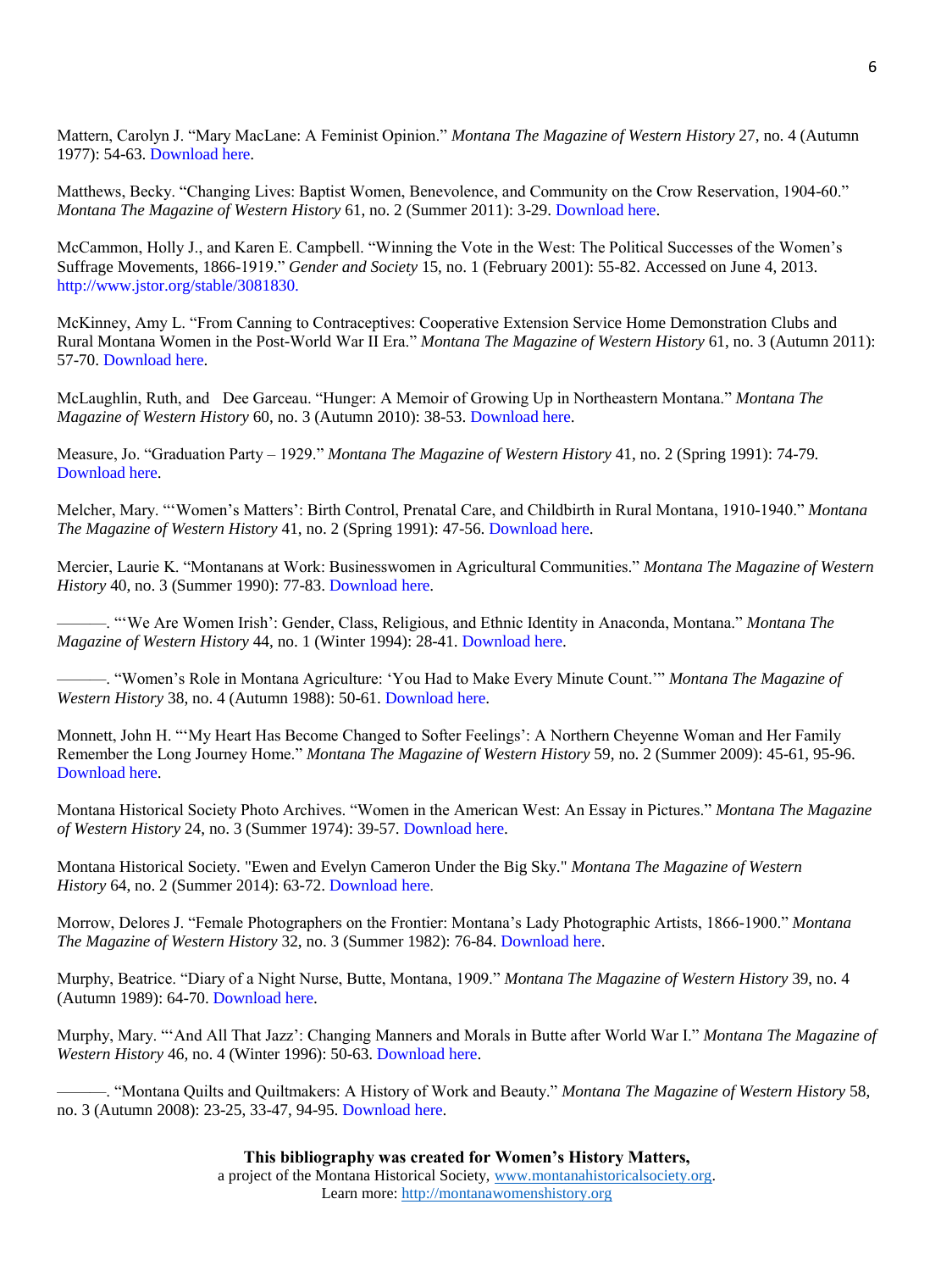Mattern, Carolyn J. "Mary MacLane: A Feminist Opinion." *Montana The Magazine of Western History* 27, no. 4 (Autumn 1977): 54-63. [Download here.](http://montanawomenshistory.org/wp-content/uploads/2013/11/Mattern-Carolyn-Mary-MacLane.pdf)

Matthews, Becky. "Changing Lives: Baptist Women, Benevolence, and Community on the Crow Reservation, 1904-60." *Montana The Magazine of Western History* 61, no. 2 (Summer 2011): 3-29. [Download here.](http://montanawomenshistory.org/wp-content/uploads/2013/11/Matthews-Becky-Chaging-Lives.pdf)

McCammon, Holly J., and Karen E. Campbell. "Winning the Vote in the West: The Political Successes of the Women's Suffrage Movements, 1866-1919." *Gender and Society* 15, no. 1 (February 2001): 55-82. Accessed on June 4, 2013. [http://www.jstor.org/stable/3081830.](http://www.jstor.org/stable/3081830)

McKinney, Amy L. "From Canning to Contraceptives: Cooperative Extension Service Home Demonstration Clubs and Rural Montana Women in the Post-World War II Era." *Montana The Magazine of Western History* 61, no. 3 (Autumn 2011): 57-70. [Download here.](http://montanawomenshistory.org/wp-content/uploads/2013/11/McKinney-Amy-L.-From-Canning-to-Contraceptives.pdf)

McLaughlin, Ruth, and Dee Garceau. "Hunger: A Memoir of Growing Up in Northeastern Montana." *Montana The Magazine of Western History* 60, no. 3 (Autumn 2010): 38-53. [Download here.](http://montanawomenshistory.org/wp-content/uploads/2013/12/McLaughlinAut2010MMWH.pdf)

Measure, Jo. "Graduation Party – 1929." *Montana The Magazine of Western History* 41, no. 2 (Spring 1991): 74-79. [Download here.](http://montanawomenshistory.org/wp-content/uploads/2013/11/Measure-Jo-Graduation-Party.pdf)

Melcher, Mary. "'Women's Matters': Birth Control, Prenatal Care, and Childbirth in Rural Montana, 1910-1940." *Montana The Magazine of Western History* 41, no. 2 (Spring 1991): 47-56. [Download here.](http://montanawomenshistory.org/wp-content/uploads/2013/11/Melcher-Mary-Womens-Matters.pdf)

Mercier, Laurie K. "Montanans at Work: Businesswomen in Agricultural Communities." *Montana The Magazine of Western History* 40, no. 3 (Summer 1990): 77-83[. Download here.](http://montanawomenshistory.org/wp-content/uploads/2013/11/Mercier-Laurie-K.-Montanans-at-Work.pdf)

———. "'We Are Women Irish': Gender, Class, Religious, and Ethnic Identity in Anaconda, Montana." *Montana The Magazine of Western History* 44, no. 1 (Winter 1994): 28-41. [Download here.](http://montanawomenshistory.org/wp-content/uploads/2013/11/Mercier-Laurie-K.-We-Are-Women-Irish.pdf)

———. "Women's Role in Montana Agriculture: 'You Had to Make Every Minute Count.'" *Montana The Magazine of Western History* 38, no. 4 (Autumn 1988): 50-61[. Download here.](http://montanawomenshistory.org/wp-content/uploads/2013/11/Mercier-Laurie-K.-Womens-Role-in-Montana-Agriculture.pdf)

Monnett, John H. "'My Heart Has Become Changed to Softer Feelings': A Northern Cheyenne Woman and Her Family Remember the Long Journey Home." *Montana The Magazine of Western History* 59, no. 2 (Summer 2009): 45-61, 95-96. [Download here.](http://montanawomenshistory.org/wp-content/uploads/2013/11/Monnett-John-My-Heart-Has-Become-Changed.pdf)

Montana Historical Society Photo Archives. "Women in the American West: An Essay in Pictures." *Montana The Magazine of Western History* 24, no. 3 (Summer 1974): 39-57. [Download here.](http://montanawomenshistory.org/wp-content/uploads/2013/11/Montana-Historical-Society-Photo-Archives-Women-in-the-American-West.pdf)

Montana Historical Society. "Ewen and Evelyn Cameron Under the Big Sky." *Montana The Magazine of Western History* 64, no. 2 (Summer 2014): 63-72. [Download here.](http://montanawomenshistory.org/wp-content/uploads/2015/01/63-72CameronPhotoEssaySum2014.pdf)

Morrow, Delores J. "Female Photographers on the Frontier: Montana's Lady Photographic Artists, 1866-1900." *Montana The Magazine of Western History* 32, no. 3 (Summer 1982): 76-84. [Download here.](http://montanawomenshistory.org/wp-content/uploads/2013/11/Morrow-Dolores-J-Female-Photographers-on-the-Frontier.pdf)

Murphy, Beatrice. "Diary of a Night Nurse, Butte, Montana, 1909." *Montana The Magazine of Western History* 39, no. 4 (Autumn 1989): 64-70. [Download here.](http://montanawomenshistory.org/wp-content/uploads/2013/11/Murphy-Beatrice-Diary-of-a-Night-Nurse-Butte-Montana-1909.pdf)

Murphy, Mary. "'And All That Jazz': Changing Manners and Morals in Butte after World War I." *Montana The Magazine of Western History* 46*,* no. 4 (Winter 1996): 50-63. [Download here.](http://montanawomenshistory.org/wp-content/uploads/2013/11/Murphy-Mary-And-All-That-Jazz.pdf)

———. "Montana Quilts and Quiltmakers: A History of Work and Beauty." *Montana The Magazine of Western History* 58, no. 3 (Autumn 2008): 23-25, 33-47, 94-95. [Download here.](http://montanawomenshistory.org/wp-content/uploads/2013/11/Murphy-Mary-Montana-Quilts.pdf)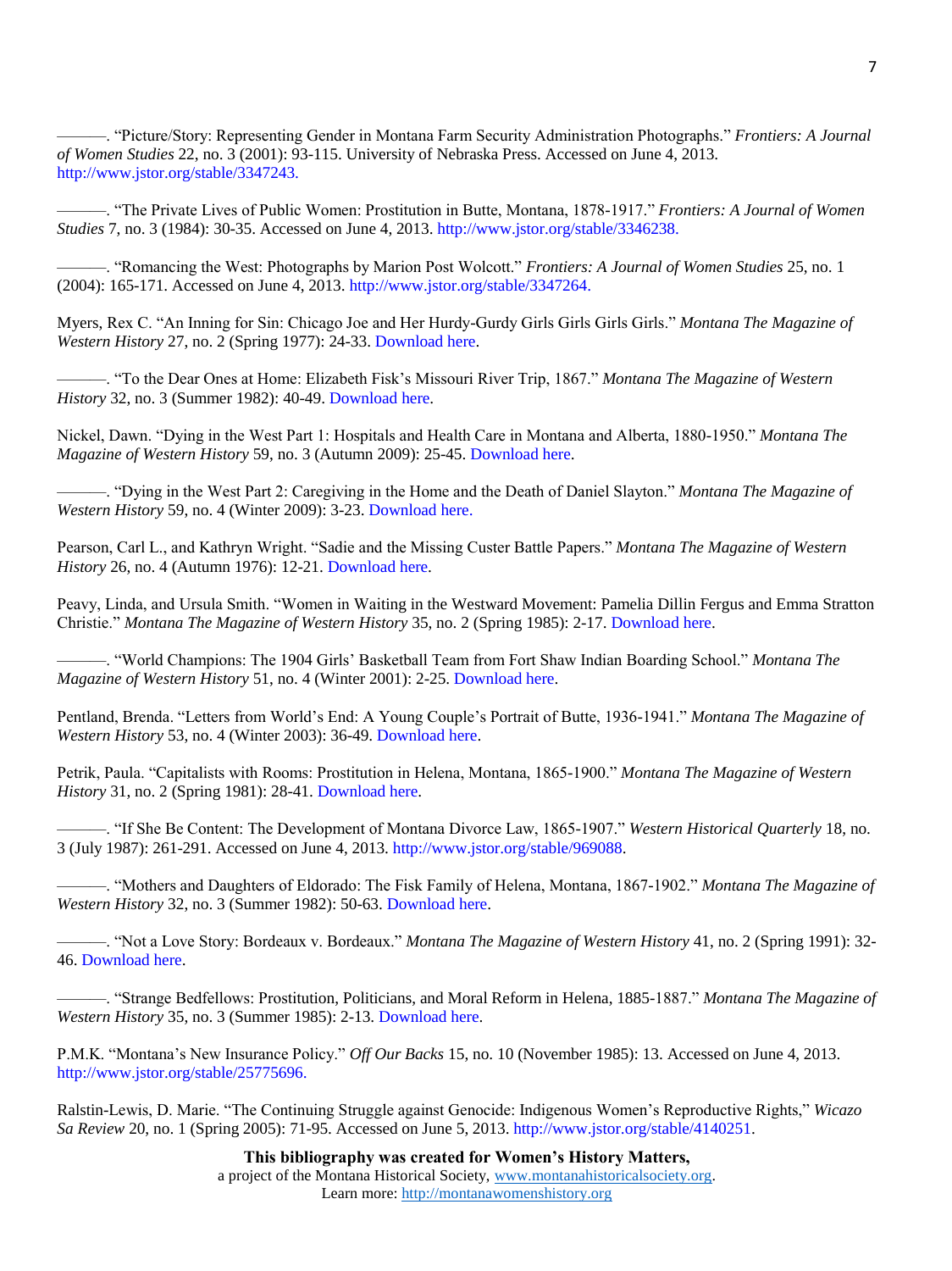———. "Picture/Story: Representing Gender in Montana Farm Security Administration Photographs." *Frontiers: A Journal of Women Studies* 22, no. 3 (2001): 93-115. University of Nebraska Press. Accessed on June 4, 2013. [http://www.jstor.org/stable/3347243.](http://www.jstor.org/stable/3347243)

———. "The Private Lives of Public Women: Prostitution in Butte, Montana, 1878-1917." *Frontiers: A Journal of Women Studies* 7, no. 3 (1984): 30-35. Accessed on June 4, 2013. [http://www.jstor.org/stable/3346238.](http://www.jstor.org/stable/3346238)

———. "Romancing the West: Photographs by Marion Post Wolcott." *Frontiers: A Journal of Women Studies* 25, no. 1 (2004): 165-171. Accessed on June 4, 2013[. http://www.jstor.org/stable/3347264.](http://www.jstor.org/stable/3347264)

Myers, Rex C. "An Inning for Sin: Chicago Joe and Her Hurdy-Gurdy Girls Girls Girls Girls." *Montana The Magazine of Western History* 27, no. 2 (Spring 1977): 24-33. [Download here.](http://montanawomenshistory.org/wp-content/uploads/2013/11/Myers-Rex-An-Inning-for-Sin.pdf)

———. "To the Dear Ones at Home: Elizabeth Fisk's Missouri River Trip, 1867." *Montana The Magazine of Western History* 32, no. 3 (Summer 1982): 40-49[. Download here.](http://montanawomenshistory.org/wp-content/uploads/2013/11/Myers-Rex-To-the-Dear-Ones-at-Home.pdf)

Nickel, Dawn. "Dying in the West Part 1: Hospitals and Health Care in Montana and Alberta, 1880-1950." *Montana The Magazine of Western History* 59, no. 3 (Autumn 2009): 25-45. [Download here.](http://montanawomenshistory.org/wp-content/uploads/2013/11/Nickel-Dawn-Dying-in-the-West-p-1.pdf)

———. "Dying in the West Part 2: Caregiving in the Home and the Death of Daniel Slayton." *Montana The Magazine of Western History* 59, no. 4 (Winter 2009): 3-23. [Download here.](http://montanawomenshistory.org/wp-content/uploads/2013/11/Nickel-Dawn-Dying-in-the-West-p-2.pdf)

Pearson, Carl L., and Kathryn Wright. "Sadie and the Missing Custer Battle Papers." *Montana The Magazine of Western History* 26, no. 4 (Autumn 1976): 12-21[. Download here.](http://montanawomenshistory.org/wp-content/uploads/2013/11/Pearson-Carl-Sadie-and-the-Missing-Custer-Battle-Papers.pdf)

Peavy, Linda, and Ursula Smith. "Women in Waiting in the Westward Movement: Pamelia Dillin Fergus and Emma Stratton Christie." *Montana The Magazine of Western History* 35, no. 2 (Spring 1985): 2-17. [Download here.](http://montanawomenshistory.org/wp-content/uploads/2013/11/Peavy-Smith-Women-in-Waiting.pdf)

———. "World Champions: The 1904 Girls' Basketball Team from Fort Shaw Indian Boarding School." *Montana The Magazine of Western History* 51, no. 4 (Winter 2001): 2-25. [Download here.](http://montanawomenshistory.org/wp-content/uploads/2013/11/Peavy-Linda-and-Ursula-Smith-World-Champions.pdf)

Pentland, Brenda. "Letters from World's End: A Young Couple's Portrait of Butte, 1936-1941." *Montana The Magazine of Western History* 53, no. 4 (Winter 2003): 36-49. [Download here.](http://montanawomenshistory.org/wp-content/uploads/2013/11/Pentland-Brenda-Letters-from-Worlds-End.pdf)

Petrik, Paula. "Capitalists with Rooms: Prostitution in Helena, Montana, 1865-1900." *Montana The Magazine of Western History* 31, no. 2 (Spring 1981): 28-41. [Download here.](http://montanawomenshistory.org/wp-content/uploads/2013/11/Petrik-Paula-Capitalists-with-Rooms.pdf)

———. "If She Be Content: The Development of Montana Divorce Law, 1865-1907." *Western Historical Quarterly* 18, no. 3 (July 1987): 261-291. Accessed on June 4, 2013. [http://www.jstor.org/stable/969088.](http://www.jstor.org/stable/969088)

———. "Mothers and Daughters of Eldorado: The Fisk Family of Helena, Montana, 1867-1902." *Montana The Magazine of Western History* 32, no. 3 (Summer 1982): 50-63[. Download here.](http://montanawomenshistory.org/wp-content/uploads/2013/11/Petrik-Paula-Mothers-and-Daughters-of-Eldorado.pdf)

———. "Not a Love Story: Bordeaux v. Bordeaux." *Montana The Magazine of Western History* 41, no. 2 (Spring 1991): 32- 46. [Download here.](http://montanawomenshistory.org/wp-content/uploads/2013/11/Petrik-Paula-Not-a-Love-Story-Bordeaux-v-Bordeaux.pdf)

———. "Strange Bedfellows: Prostitution, Politicians, and Moral Reform in Helena, 1885-1887." *Montana The Magazine of Western History* 35, no. 3 (Summer 1985): 2-13. [Download here.](http://montanawomenshistory.org/wp-content/uploads/2013/11/Petrik-Paula-Strange-Bedfellows-Prostitution-Politicansm-and-Moral-Reform-in-Helena.pdf)

P.M.K. "Montana's New Insurance Policy." *Off Our Backs* 15, no. 10 (November 1985): 13. Accessed on June 4, 2013. [http://www.jstor.org/stable/25775696.](http://www.jstor.org/stable/25775696)

Ralstin-Lewis, D. Marie. "The Continuing Struggle against Genocide: Indigenous Women's Reproductive Rights," *Wicazo Sa Review* 20, no. 1 (Spring 2005): 71-95. Accessed on June 5, 2013. [http://www.jstor.org/stable/4140251.](http://www.jstor.org/stable/4140251)

> **This bibliography was created for Women's History Matters,** a project of the Montana Historical Society, [www.montanahistoricalsociety.org.](file:///C:/Users/Kayla/Downloads/www.montanahistoricalsociety.org) Learn more: [http://montanawomenshistory.org](http://montanawomenshistory.org/)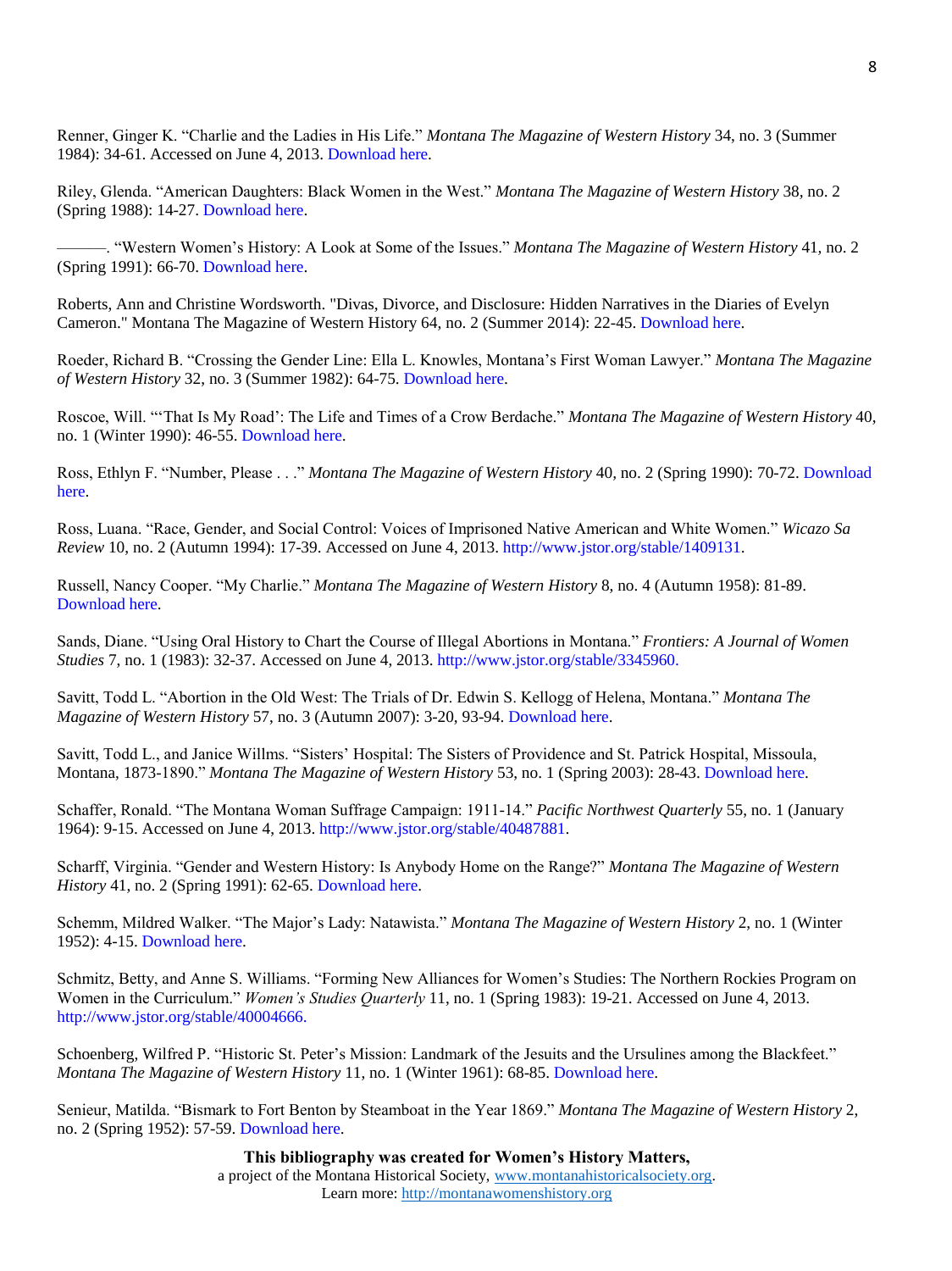Renner, Ginger K. "Charlie and the Ladies in His Life." *Montana The Magazine of Western History* 34, no. 3 (Summer 1984): 34-61. Accessed on June 4, 2013[. Download here.](http://montanawomenshistory.org/wp-content/uploads/2013/11/Renner-Ginger-K.-Charlie-and-the-Ladies-in-His-Life.pdf)

Riley, Glenda. "American Daughters: Black Women in the West." *Montana The Magazine of Western History* 38*,* no. 2 (Spring 1988): 14-27[. Download here.](http://montanawomenshistory.org/wp-content/uploads/2013/11/Riley-Glenda-American-Daughters.pdf)

———. "Western Women's History: A Look at Some of the Issues." *Montana The Magazine of Western History* 41*,* no. 2 (Spring 1991): 66-70[. Download here.](http://montanawomenshistory.org/wp-content/uploads/2013/11/Riley-Glenda-Western-Womens-History.pdf)

Roberts, Ann and Christine Wordsworth. "Divas, Divorce, and Disclosure: Hidden Narratives in the Diaries of Evelyn Cameron." Montana The Magazine of Western History 64, no. 2 (Summer 2014): 22-45[. Download here.](http://montanawomenshistory.org/wp-content/uploads/2015/01/46-62RobertsSum2014.pdf)

Roeder, Richard B. "Crossing the Gender Line: Ella L. Knowles, Montana's First Woman Lawyer." *Montana The Magazine of Western History* 32, no. 3 (Summer 1982): 64-75. [Download here.](http://montanawomenshistory.org/wp-content/uploads/2013/11/Roeder-Richard-B.-Crossing-the-Gender-Line.pdf)

Roscoe, Will. "'That Is My Road': The Life and Times of a Crow Berdache." *Montana The Magazine of Western History* 40, no. 1 (Winter 1990): 46-55. [Download here.](http://montanawomenshistory.org/wp-content/uploads/2013/11/Roscoe-Will-That-is-my-Road-The-Life-and-Times-of-a-Crow-Berdache.pdf)

Ross, Ethlyn F. "Number, Please . . ." *Montana The Magazine of Western History* 40*,* no. 2 (Spring 1990): 70-72[. Download](http://montanawomenshistory.org/wp-content/uploads/2013/11/Ross-Ethlyn-Number-Please.pdf)  [here.](http://montanawomenshistory.org/wp-content/uploads/2013/11/Ross-Ethlyn-Number-Please.pdf)

Ross, Luana. "Race, Gender, and Social Control: Voices of Imprisoned Native American and White Women." *Wicazo Sa Review* 10, no. 2 (Autumn 1994): 17-39. Accessed on June 4, 2013. [http://www.jstor.org/stable/1409131.](http://www.jstor.org/stable/1409131)

Russell, Nancy Cooper. "My Charlie." *Montana The Magazine of Western History* 8, no. 4 (Autumn 1958): 81-89. [Download here.](http://montanawomenshistory.org/wp-content/uploads/2013/11/Russell-Nancy-Cooper-My-Charlie.pdf)

Sands, Diane. "Using Oral History to Chart the Course of Illegal Abortions in Montana." *Frontiers: A Journal of Women Studies* 7, no. 1 (1983): 32-37. Accessed on June 4, 2013. [http://www.jstor.org/stable/3345960.](http://www.jstor.org/stable/3345960)

Savitt, Todd L. "Abortion in the Old West: The Trials of Dr. Edwin S. Kellogg of Helena, Montana." *Montana The Magazine of Western History* 57, no. 3 (Autumn 2007): 3-20, 93-94. [Download here.](http://montanawomenshistory.org/wp-content/uploads/2013/11/Savitt-Todd-L.-Abortion-in-the-Old-West.pdf)

Savitt, Todd L., and Janice Willms. "Sisters' Hospital: The Sisters of Providence and St. Patrick Hospital, Missoula, Montana, 1873-1890." *Montana The Magazine of Western History* 53, no. 1 (Spring 2003): 28-43. [Download here.](http://montanawomenshistory.org/wp-content/uploads/2013/11/Savitt-Todd-L.-and-Janice-Williams-Sisters-Hospital.pdf) 

Schaffer, Ronald. "The Montana Woman Suffrage Campaign: 1911-14." *Pacific Northwest Quarterly* 55, no. 1 (January 1964): 9-15. Accessed on June 4, 2013. [http://www.jstor.org/stable/40487881.](http://www.jstor.org/stable/40487881)

Scharff, Virginia. "Gender and Western History: Is Anybody Home on the Range?" *Montana The Magazine of Western History* 41, no. 2 (Spring 1991): 62-65. [Download here.](http://montanawomenshistory.org/wp-content/uploads/2013/11/Scharff-Virginia-Is-Anybody-Home-on-the-Range.pdf)

Schemm, Mildred Walker. "The Major's Lady: Natawista." *Montana The Magazine of Western History* 2, no. 1 (Winter 1952): 4-15. [Download here.](http://montanawomenshistory.org/wp-content/uploads/2013/11/Schemm-Mildred-The-Majors-Lady-Natawista.pdf)

Schmitz, Betty, and Anne S. Williams. "Forming New Alliances for Women's Studies: The Northern Rockies Program on Women in the Curriculum." *Women's Studies Quarterly* 11, no. 1 (Spring 1983): 19-21. Accessed on June 4, 2013. [http://www.jstor.org/stable/40004666.](http://www.jstor.org/stable/40004666)

Schoenberg, Wilfred P. "Historic St. Peter's Mission: Landmark of the Jesuits and the Ursulines among the Blackfeet." *Montana The Magazine of Western History* 11, no. 1 (Winter 1961): 68-85. [Download here.](http://montanawomenshistory.org/wp-content/uploads/2013/11/Schoenberg-Wilfred-P.-Historic-St.-Peters-Mission.pdf)

Senieur, Matilda. "Bismark to Fort Benton by Steamboat in the Year 1869." *Montana The Magazine of Western History* 2, no. 2 (Spring 1952): 57-59. [Download here.](http://montanawomenshistory.org/wp-content/uploads/2013/11/Senieur-Matilda-Bismark-to-Fort-Benton.pdf)

**This bibliography was created for Women's History Matters,**

a project of the Montana Historical Society, [www.montanahistoricalsociety.org.](file:///C:/Users/Kayla/Downloads/www.montanahistoricalsociety.org) Learn more: [http://montanawomenshistory.org](http://montanawomenshistory.org/)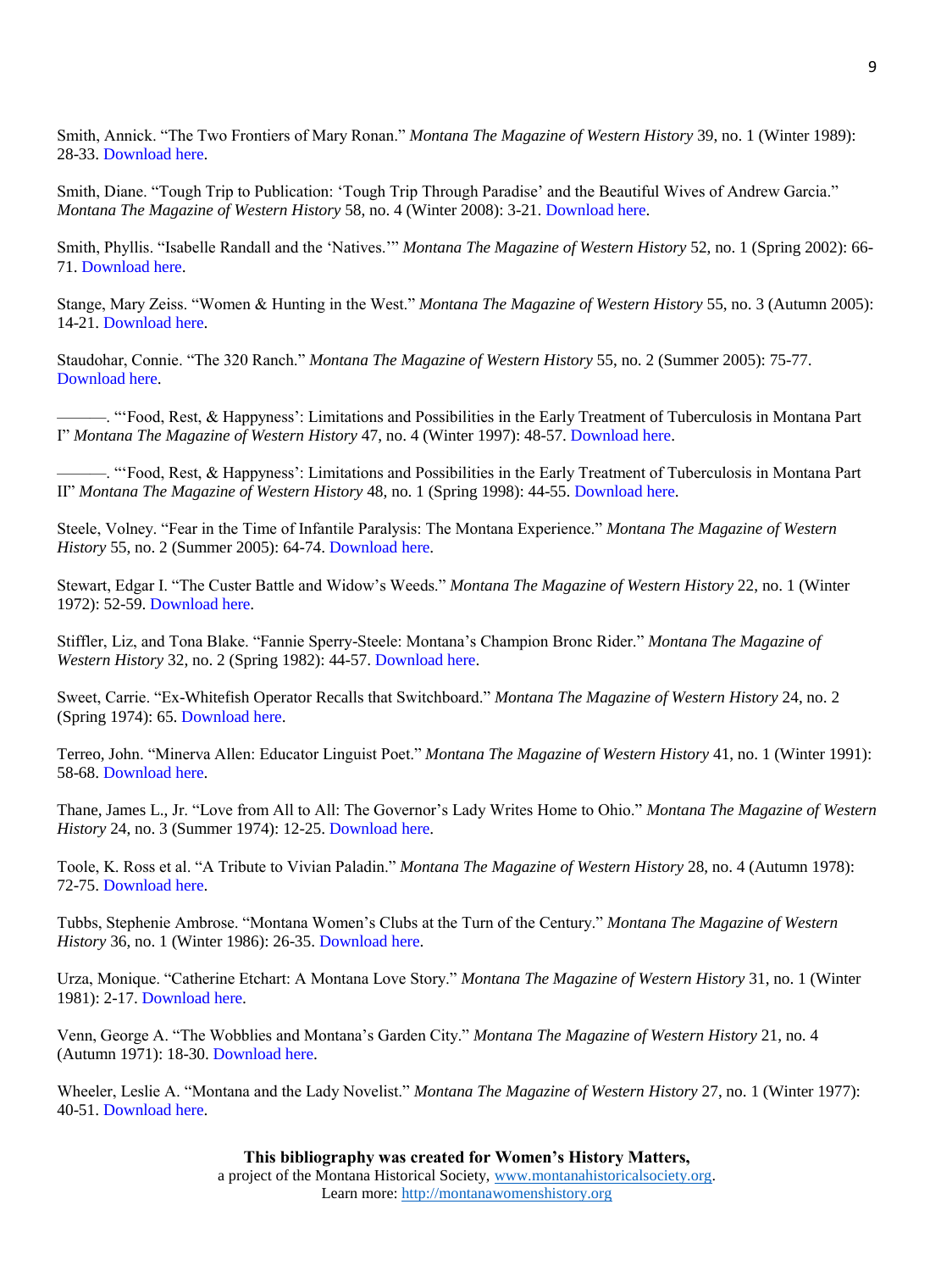Smith, Annick. "The Two Frontiers of Mary Ronan." *Montana The Magazine of Western History* 39, no. 1 (Winter 1989): 28-33. [Download here.](http://montanawomenshistory.org/wp-content/uploads/2013/11/Smith-Annick-The-Two-Frontiers-of-Mary-Ronan.pdf)

Smith, Diane. "Tough Trip to Publication: 'Tough Trip Through Paradise' and the Beautiful Wives of Andrew Garcia." *Montana The Magazine of Western History* 58, no. 4 (Winter 2008): 3-21. [Download here.](http://montanawomenshistory.org/wp-content/uploads/2013/11/Smith-Diane-Tough-Trip-to-Publication.pdf)

Smith, Phyllis. "Isabelle Randall and the 'Natives.'" *Montana The Magazine of Western History* 52, no. 1 (Spring 2002): 66- 71. [Download here.](http://montanawomenshistory.org/wp-content/uploads/2013/11/Smith-Phyllis-Isabelle-Randall-and-the-Natives.pdf)

Stange, Mary Zeiss. "Women & Hunting in the West." *Montana The Magazine of Western History* 55, no. 3 (Autumn 2005): 14-21. [Download here.](http://montanawomenshistory.org/wp-content/uploads/2013/11/Stange-Mary-Women-Hunting-in-the-West.pdf)

Staudohar, Connie. "The 320 Ranch." *Montana The Magazine of Western History* 55, no. 2 (Summer 2005): 75-77. [Download here.](http://montanawomenshistory.org/wp-content/uploads/2013/11/Staudohar-Connie-The-320-Ranch.pdf)

———. "'Food, Rest, & Happyness': Limitations and Possibilities in the Early Treatment of Tuberculosis in Montana Part I" *Montana The Magazine of Western History* 47, no. 4 (Winter 1997): 48-57. [Download here.](http://montanawomenshistory.org/wp-content/uploads/2013/11/Staudohar-Food-Rest-Happyness-p1.pdf)

———. "'Food, Rest, & Happyness': Limitations and Possibilities in the Early Treatment of Tuberculosis in Montana Part II" *Montana The Magazine of Western History* 48, no. 1 (Spring 1998): 44-55. [Download here.](http://montanawomenshistory.org/wp-content/uploads/2013/11/Staudohar-Food-Rest-Happyness-p2.pdf)

Steele, Volney. "Fear in the Time of Infantile Paralysis: The Montana Experience." *Montana The Magazine of Western History* 55, no. 2 (Summer 2005): 64-74[. Download here.](http://montanawomenshistory.org/wp-content/uploads/2013/11/Steele-Volney-Fear-in-the-Time-of-Infantile-Paralysis.pdf)

Stewart, Edgar I. "The Custer Battle and Widow's Weeds." *Montana The Magazine of Western History* 22, no. 1 (Winter 1972): 52-59. [Download here.](http://montanawomenshistory.org/wp-content/uploads/2013/11/Stewart-Edgar-I-The-Custer-Battle-and-Widows-Weeds.pdf)

Stiffler, Liz, and Tona Blake. "Fannie Sperry-Steele: Montana's Champion Bronc Rider." *Montana The Magazine of Western History* 32, no. 2 (Spring 1982): 44-57. [Download here.](http://montanawomenshistory.org/wp-content/uploads/2013/11/Stiffler-Liz-and-Tona-Blake-Fannie-Sperry-Steele.pdf)

Sweet, Carrie. "Ex-Whitefish Operator Recalls that Switchboard." *Montana The Magazine of Western History* 24, no. 2 (Spring 1974): 65[. Download here.](http://montanawomenshistory.org/wp-content/uploads/2013/11/Sweet-Carrie-Ex-Whitefish-Operator-Recalls-That-Switchboard.pdf)

Terreo, John. "Minerva Allen: Educator Linguist Poet." *Montana The Magazine of Western History* 41, no. 1 (Winter 1991): 58-68. [Download here.](http://montanawomenshistory.org/wp-content/uploads/2013/11/Terreo-John-Minerva-Allen.pdf)

Thane, James L., Jr. "Love from All to All: The Governor's Lady Writes Home to Ohio." *Montana The Magazine of Western History* 24, no. 3 (Summer 1974): 12-25[. Download here.](http://montanawomenshistory.org/wp-content/uploads/2013/11/Thane-James-L.-Jr-Love-From-All-to-All.pdf)

Toole, K. Ross et al. "A Tribute to Vivian Paladin." *Montana The Magazine of Western History* 28, no. 4 (Autumn 1978): 72-75. [Download here.](http://montanawomenshistory.org/wp-content/uploads/2013/11/A-Tribute-to-Vivian-Paladin.pdf)

Tubbs, Stephenie Ambrose. "Montana Women's Clubs at the Turn of the Century." *Montana The Magazine of Western History* 36, no. 1 (Winter 1986): 26-35. [Download here.](http://montanawomenshistory.org/wp-content/uploads/2013/11/Tubbs-Stephenie-Ambrose-Montana-Womens-Clubs-at-the-Turn-of-the-Century.pdf)

Urza, Monique. "Catherine Etchart: A Montana Love Story." *Montana The Magazine of Western History* 31, no. 1 (Winter 1981): 2-17. [Download here.](http://montanawomenshistory.org/wp-content/uploads/2013/11/Urza-Monique-Catherine-Etchart-A-Montana-Love-Story.pdf)

Venn, George A. "The Wobblies and Montana's Garden City." *Montana The Magazine of Western History* 21, no. 4 (Autumn 1971): 18-30. [Download here.](http://montanawomenshistory.org/wp-content/uploads/2013/11/Venn-George-A.-The-Wobblies-and-Montanas-Garden-City.pdf)

Wheeler, Leslie A. "Montana and the Lady Novelist." *Montana The Magazine of Western History* 27, no. 1 (Winter 1977): 40-51. [Download here.](http://montanawomenshistory.org/wp-content/uploads/2013/11/Wheeler-Leslie-A.-Montana-and-the-Lady-Novelist.pdf)

> **This bibliography was created for Women's History Matters,** a project of the Montana Historical Society, [www.montanahistoricalsociety.org.](file:///C:/Users/Kayla/Downloads/www.montanahistoricalsociety.org) Learn more: [http://montanawomenshistory.org](http://montanawomenshistory.org/)